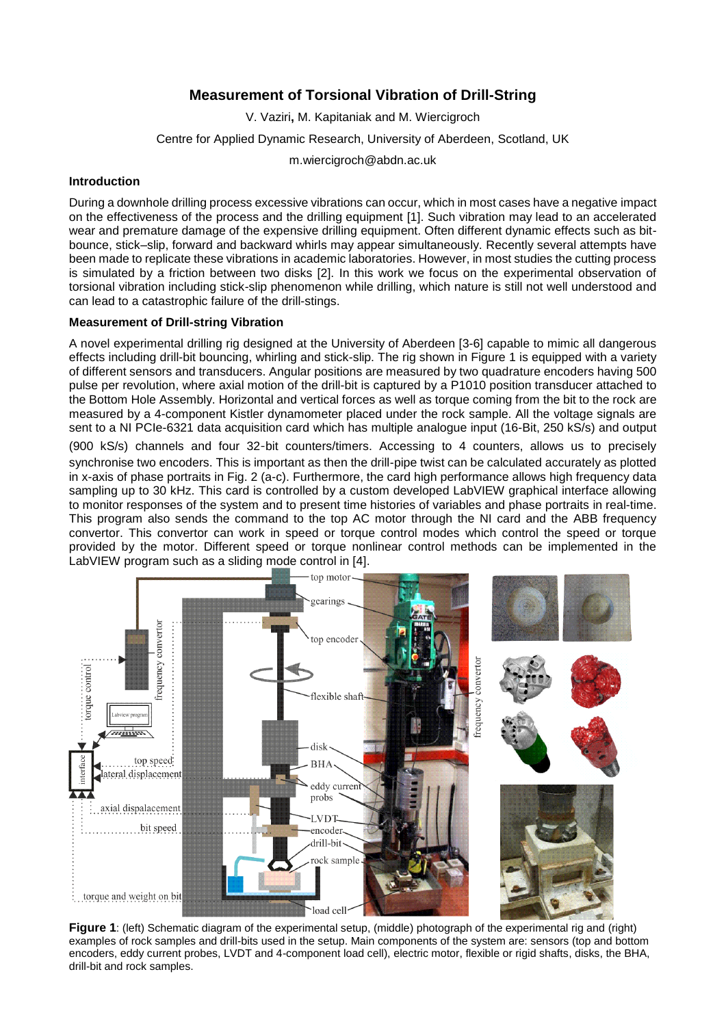# **Measurement of Torsional Vibration of Drill-String**

V. Vaziri**,** M. Kapitaniak and M. Wiercigroch

Centre for Applied Dynamic Research, University of Aberdeen, Scotland, UK

m.wiercigroch@abdn.ac.uk

## **Introduction**

During a downhole drilling process excessive vibrations can occur, which in most cases have a negative impact on the effectiveness of the process and the drilling equipment [1]. Such vibration may lead to an accelerated wear and premature damage of the expensive drilling equipment. Often different dynamic effects such as bitbounce, stick–slip, forward and backward whirls may appear simultaneously. Recently several attempts have been made to replicate these vibrations in academic laboratories. However, in most studies the cutting process is simulated by a friction between two disks [2]. In this work we focus on the experimental observation of torsional vibration including stick-slip phenomenon while drilling, which nature is still not well understood and can lead to a catastrophic failure of the drill-stings.

## **Measurement of Drill-string Vibration**

A novel experimental drilling rig designed at the University of Aberdeen [3-6] capable to mimic all dangerous effects including drill-bit bouncing, whirling and stick-slip. The rig shown in [Figure 1](#page-0-0) is equipped with a variety of different sensors and transducers. Angular positions are measured by two quadrature encoders having 500 pulse per revolution, where axial motion of the drill-bit is captured by a P1010 position transducer attached to the Bottom Hole Assembly. Horizontal and vertical forces as well as torque coming from the bit to the rock are measured by a 4-component Kistler dynamometer placed under the rock sample. All the voltage signals are sent to a NI PCIe-6321 data acquisition card which has multiple analogue input (16-Bit, 250 kS/s) and output

(900 kS/s) channels and four 32‑bit counters/timers. Accessing to 4 counters, allows us to precisely synchronise two encoders. This is important as then the drill-pipe twist can be calculated accurately as plotted in x-axis of phase portraits in Fig. 2 (a-c). Furthermore, the card high performance allows high frequency data sampling up to 30 kHz. This card is controlled by a custom developed LabVIEW graphical interface allowing to monitor responses of the system and to present time histories of variables and phase portraits in real-time. This program also sends the command to the top AC motor through the NI card and the ABB frequency convertor. This convertor can work in speed or torque control modes which control the speed or torque provided by the motor. Different speed or torque nonlinear control methods can be implemented in the LabVIEW program such as a sliding mode control in [4].



<span id="page-0-0"></span>**Figure 1**: (left) Schematic diagram of the experimental setup, (middle) photograph of the experimental rig and (right) examples of rock samples and drill-bits used in the setup. Main components of the system are: sensors (top and bottom encoders, eddy current probes, LVDT and 4-component load cell), electric motor, flexible or rigid shafts, disks, the BHA, drill-bit and rock samples.